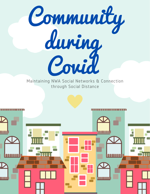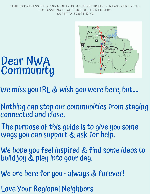#### 'THE GREATNESS OF A COMMUNITY IS MOST ACCURATELY MEASURED BY THE COMPASSIONATE ACTIONS OF ITS MEMBERS' CORETTA SCOTT KING



# Dear NWA Community

- We miss you IRL & wish you were here, but....
- Nothing can stop our communities from staying connected and close.
- The purpose of this guide is to give you some ways you can support & ask for help.
- We hope you feel inspired & find some ideas to build joy & play into your day.
- We are here for you always & forever!
- Love Your Regional Neighbors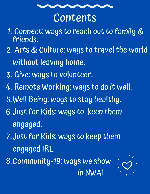

# Contents

- 1. Connect: ways to reach out to family & friends.
- Arts & Culture: ways to travelthe world 2. without leaving home.
- 3. Give: ways to volunteer.
- 4. Kemote Working: ways to do it well.
- 5. Well Being: ways to stay healthy.
- Just for Kids: ways to keep them 6. engaged.
- 7. Just for Kids: ways to keep them  $\,$ engaged IRL.

8. Community-19: ways we show in NWA!

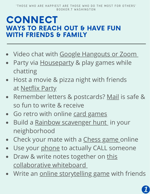#### CONNECT WAYS TO REACH OUT & HAVE FUN WITH FRIENDS & FAMILY

- Video chat with Google [Hangouts](https://www.bustle.com/p/6-differences-between-zoom-google-hangouts-you-should-know-22647281) or Zoo[m](https://www.bustle.com/p/6-differences-between-zoom-google-hangouts-you-should-know-22647281)
- Party via **[Houseparty](https://www.pocket-lint.com/apps/news/151530-what-is-houseparty-the-group-video-chat-app-that-s-brightening-up-isolation) & play games while** chatting
- Host a movie & pizza night with friends at [Netflix](https://www.netflixparty.com/) Party
- Remember letters & postcards? [Mail](https://www.usatoday.com/story/news/nation/2020/03/21/can-coronavirus-travel-though-mail-experts-say-no/2862947001/) is safe & so fun to write & receive
- Go retro with online card [games](https://www.cardzmania.com/games/)
- Build a Rainbow [scavenger](https://www.google.com/maps/d/u/0/viewer?mid=1YwAqVlT8npzqRL8s79oIH0o_L6ASv0tx&ll=40.68340860465587%2C-74.00458402606807&z=13&fbclid=IwAR1acTPj10iwpMjej3urXN3Q9JbA43-_XfQf06zNUuYUYHKEMqzL6FCnpFk) hunt in your neighborhood
- Check your mate with a [Chess](https://www.chesskid.com/) game online  $\bullet$
- Use your [phone](https://www.someecards.com/usercards/viewcard/MjAxMy01NTAwNmIzZDY5YTJiZDQ0/?tagSlug=news) to actually CALL someone  $\bullet$
- Draw & write notes together on this  $\bullet$ [collaborative](https://awwapp.com/) whiteboar[d](https://awwapp.com/)
- Write an online [storytelling](https://storium.com/) game with friends

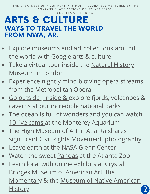'THE GREATNESS OF A COMMUNITY IS MOST ACCURATELY MEASURED BY THE COMPASSIONATE ACTIONS OF ITS MEMBERS' CORETTA SCOTT KING

#### ARTS & CULTURE WAYS TO TRAVEL THE WORLD FROM NWA, AR.

- Explore museums and art collections around the world with [Google](https://artsandculture.google.com/) arts & culture
- Take a virtual tour inside the Natural History [Museum](https://artsandculture.google.com/partner/natural-history-museum) in Londo[n](https://artsandculture.google.com/partner/natural-history-museum)
- Experience nightly mind blowing opera streams from the [Metropolitan](https://www.metopera.org/user-information/nightly-met-opera-streams/) Opera
- Go [outside](https://artsandculture.withgoogle.com/en-us/national-parks-service/parks) , inside & explore fjords, volcanoes & caverns at our incredible national parks
- The ocean is full of wonders and you can watch 10 live [cams](https://www.montereybayaquarium.org/animals/live-cams) at the Monterey Aquarium
- The High Museum of Art in Atlanta shares significant Civil Rights [Movement](https://artsandculture.google.com/exhibit/civil-rights-photography/9wISPkiyouv-Lw?hl=en) photography
- Leave earth at the NASA Glenn [Center](https://www.nasa.gov/glennvirtualtours)
- Watch the sweet [Pandas](https://zooatlanta.org/panda-cam/) at the Atlanta Zoo
- Learn local with online exhibits at Crystal **Bridges Museum of [American](https://crystalbridges.org/VR/) Art, the** [Momenta](https://themomentary.org/calendar/state-of-the-art-2020/)[ry](https://www.monah.us/exhibits) & the Museum of Native American **History**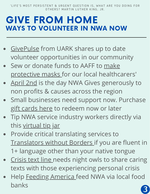'LIFE'S MOST PERSISTENT & URGENT QUESTION IS, WHAT ARE YOU DOING FOR OTHERS? MARTIN LUTHER KING, JR.

## GIVE FROM HOME WAYS TO VOLUNTEER IN NWA NOW

- [GivePulse](https://uark.givepulse.com/covid) from UARK shares up to date volunteer opportunities in our community
- Sew or donate funds to AAFF to make [protective](http://www.arkansasfashion.org/masks/) masks for our local healthcarers'
- [April](https://nwagives.org/) 2nd is the day NWA Gives generously to  $\bullet$ non profits & causes across the region
- Small businesses need support now. Purchase gift [cards](https://supportlocalnwa.com/) here to redeem now or later
- Tip NWA service industry workers directly via this [virtual](https://docs.google.com/spreadsheets/u/1/d/1UHTNdXPgLViZ_uV3zh3-4WJUWEvF3W_PM9VTI0ObIoo/htmlview) tip jar
- Provide critical translating services to [Translators](https://translatorswithoutborders.org/) without Borders if you are fluent in 1+ language other than your native tongue
- [Crisis](https://www.crisistextline.org/) text line needs night owls to share caring texts with those experiencing personal crisis
- Help Feeding [America](https://www.feedingamerica.org/) feed NWA via local food banks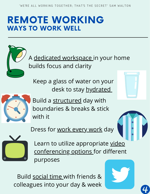#### REMOTE WORKING WAYS TO WORK WELL

A [dedicated workspace i](https://launchworkplaces.com/how-to-create-an-inspiring-workspace/)n your home builds focus and clarity

Keep a glass of water on your desk to stay [hydrated](https://www.iprosport.com/news/covid-19-how-staying-hydrated-boosts-your-bodys-first-line-of-defence-against-the-novel-coronavirus)



Build a [structured](https://www.psychologytoday.com/us/blog/biofeedback-and-mindfulness-in-everyday-life/202003/77-strategies-working-home-during-covid-19) day with boundaries & breaks & stick with it





Learn to utilize appropriate video [conferencing options for different](https://www.owllabs.com/blog/video-conferencing-tools) purposes

Build [social time](https://www.cnbc.com/2020/03/25/how-coworkers-are-staying-connected-while-they-work-from-home.html) with friends & colleagues into your day & week

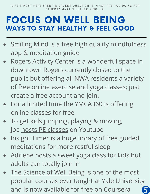'LIFE'S MOST PERSISTENT & URGENT QUESTION IS, WHAT ARE YOU DOING FOR OTHERS? MARTIN LUTHER KING, JR.

## FOCUS ON WELL BEING WAYS TO STAY HEALTHY & FEEL GOOD

- [Smiling](https://www.smilingmind.com.au/) Mind is a free high quality mindfulness app & meditation guide
- Rogers Activity Center is a wonderful space in downtown Rogers currently closed to the public but offering all NWA residents a variety of free online [exercise](http://rogersrecreation.org/workout) and yoga classes; just create a free account and join.
- For a limited time the [YMCA360](https://ymca360.org/on-demand#/) is offering online classes for free
- To get kids jumping, playing & moving, Joe hosts PE [classes](https://www.youtube.com/playlist?list=PLyCLoPd4VxBvPHOpzoEk5onAEbq40g2-k) on Youtube
- [Insight](https://insighttimer.com/) Timer is a huge library of free guided meditations for more restful sleep
- Adriene hosts a [sweet](https://yogawithadriene.com/yoga-for-kids/) yoga class for kids but adults can totally join in
- The [Science](https://www.coursera.org/learn/the-science-of-well-being) of Well Being is one of the most popular courses ever taught at Yale University and is now available for free on Coursera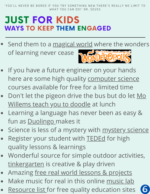# JUST FOR KIDS WAYS TO KEEP THEM ENGAGED

- Send them to a [magical](https://wonderopolis.org/) world where the wonders of learning never cease
- If you have a future engineer on your hands here are some high quality [computer](https://www.amazonfutureengineer.com/free-courses) science courses available for free for a limited time
- Don't let the pigeon drive the bus but do let Mo [Willems](https://www.youtube.com/playlist?list=PL14hRqd0PELGbKihHuTqx_pbvCLqGbOkF) teach you to doodle at lunch
- Learning a language has never been as easy & fun as **[Duolingo](https://www.duolingo.com/)** makes it
- Science is less of a [mystery](https://mysteryscience.com/school-closure-planning) with mystery science
- Register your student with **[TEDEd](https://ed.ted.com/)** for high quality lessons & learnings
- Wonderful source for simple outdoor activities, [tinkergarten](https://www.tinkergarten.com/activities) is creative & play driven
- Amazing free real world lessons & [projects](https://everfi.com/partners/k-12-educators/)
- Make [music](https://musiclab.chromeexperiments.com/Experiments) for real in this online music lab
- [Resource](https://schoolchoiceweek.com/parent-resources-during-coronavirus/) list for free quality education sites

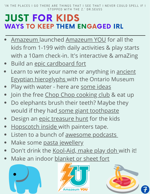'IN THE PLACES I GO THERE ARE THINGS THAT I SEE THAT I NEVER COULD SPELL IF I STOPPED WITH THE Z.' DR. SEUSS

## JUST FOR KIDS WAYS TO KEEP THEM ENGAGED IRL

- [Amazeum](https://www.amazeum.org/visit/amazeum-you/) launched [Amazeum](https://www.amazeum.org/visit/amazeum-you/) YOU for all the kids from 1-199 with daily activities & play starts with a 10am check-in. It's interactive & amaZing
- Build an epic [cardboard](https://www.playideas.com/25-epic-cardboard-forts/) fort
- Learn to write your name or anything in ancient  $\bullet$ Egyptian [hieroglyphs](https://www.rom.on.ca/en/learn/activities/classroom/hieroglyphs) with the Ontario Museum
- Play with water here are [some](https://www.remodelaholic.com/25-water-fun-crafts-and-activities-kids-will-love/) ideas
- Join the free Chop Chop [cooking](http://chopchopcookingclub.org/) club & eat up
- Do elephants brush their teeth? Maybe they would if they had some giant [toothpaste](https://www.imaginationstationtoledo.org/educator/activities/elephant-toothpaste)
- Design an epic [treasure](https://www.mykidsadventures.com/treasure-hunt-kids-guide/) hunt for the kids
- [Hopscotch](https://www.prettyhandygirl.com/indoor-hopscotch-using-painters-tape/) inside with painters tape.
- Listen to a bunch of [awesome](https://www.commonsensemedia.org/blog/the-best-podcasts-for-kids) podcasts
- Make some pasta [jewellery](https://mumsgrapevine.com.au/2016/01/diy-pasta-jewellery/)  $\bullet$
- Don't drink the [Kool-Aid,](https://www.thebestideasforkids.com/kool-aid-playdough-recipe/) make play doh with it!
- Make an indoor [blanket](https://www.wikihow.com/Make-a-Blanket-Fort) or sheet fort





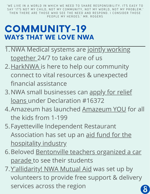'WE LIVE IN A WORLD IN WHICH WE NEED TO SHARE RESPONSIBILITY. IT'S EASY TO SAY 'IT'S NOT MY CHILD, NOT MY COMMUNITY, NOT MY WORLD, NOT MY PROBLEM.' THEN THERE ARE THOSE WHO SEE THE NEED AND RESPOND. I CONSIDER THOSE PEOPLE MY HEROES.' MR. ROGERS

#### COMMUNITY-19 WAYS THAT WE LOVE NWA

- 1. NWA Medical systems are j<u>ointly working</u> [together](https://www.mercy.net/newsroom/2020-03-18/health-systems-release-joint-statement-on-covid-19/) 24/7 to take care of us
- 2.<u>[HarkNWA](https://www.harknwa.com/login/) i</u>s here to help our community connect to vital resources & unexpected financial assistance
- 3.NWA small businesses can <u>apply for relief</u> loans under [Declaration](https://disasterloan.sba.gov/ela/) #16372
- 4. [Amazeum](https://www.amazeum.org/visit/amazeum-you/) has launched <u>Amazeum YOU</u> for all the kids from 1-199
- Fayetteville Independent Restaurant 5. [Association](https://www.fayira.org/?fbclid=IwAR0pkTipCXm8XMU3_KzLUcqmmeWfCqYhYI9bJ4ZIRQs9LgPP2-gsk-FdZcc) has set up an aid fund for the hospitality industry
- 6. Beloved <u>[Bentonville](https://www.4029tv.com/article/bentonville-teachers-hold-parade-to-see-students-and-lift-their-spirits/31887728) teachers organized a car</u> parade to see their students
- 7. <u>[Y'allidarity!](https://www.facebook.com/groups/774646933026674/) NWA Mutual Aid</u> was set up by volunteers to provide free support & delivery services across the region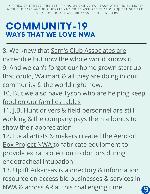'IN TIMES OF STRESS, THE BEST THING WE CAN DO FOR EACH OTHER IS TO LISTEN WITH OUR EARS AND OUR HEARTS AND TO BE ASSURED THAT OUR QUESTIONS ARE JUST AS IMPORTANT AS OUR ANSWERS 'MR. ROGERS

#### COMMUNITY-19 WAYS THAT WE LOVE NWA

- 8. We knew that Sam's Club [Associates](https://www.facebook.com/samsclub/videos/1845436355592901/) are incredible but now the whole world knows it 9. And we can't forgot our home grown start up that could, [Walmart](https://corporate.walmart.com/coronavirus) & all they are doing in our community & the world right now.
- 10. But we also have Tyson who are helping keep food on our [families](https://www.tysonfoods.com/coronavirus) tables
- 11. J.B. Hunt drivers & field personnel are still working & the company pays them a [bonus](https://www.arkansasbusiness.com/article/130524/jb-hunt-to-pay-employees-bonus) to show their appreciation
- 12. Local artists & makers created the Aerosol **Box Project NWA to fabricate [equipment](https://www.facebook.com/ABPNWA/?__cft__[0]=AZU8Jsq_lx_UNnP4QNmg5BXXM0shU9j5RV3dnWhHN0bqsH69CRsZvnmQdM5RWXVZZ-4GfcIChgNdKpxJrU2_XZREyFcl9W1O_lNqWCAm434db3MoFB9sYPzbVuh0spEXNRE&__tn__=kK-R) to** provide extra protection to doctors during endotracheal intubation
- 13. Uplift [Arkansas](https://www.upliftarkansas.com/) is a directory & information resource on accessible businesses & services in NWA & across AR at this challenging time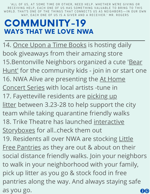'ALL OF US, AT SOME TIME OR OTHER, NEED HELP. WHETHER WE'RE GIVING OR RECEIVING HELP, EACH ONE OF US HAS SOMETHING VALUABLE TO BRING TO THIS WORLD. THAT'S ONE OF THE THINGS THAT CONNECTS US AS NEIGHBORS—IN OUR OWN WAY. EACH ONE OF US IS A GIVER AND A RECEIVER.' MR. ROGERS

#### COMMUNITY-19 WAYS THAT WE LOVE NWA

14. Once Upon a Time [Books](https://www.facebook.com/onceuponatimebooksAR/) is hosting daily book giveaways from their amazing store 15. Bentonville Neighbors organized a cute 'Bear Hunt' for the community kids - join in or start one 16. NWA Alive are [presenting](https://www.facebook.com/NWAALIVE/) the At Home Concert Series with local artists -tune in 17. [Fayetteville](https://www.facebook.com/events/200514711255597/) residents are picking up litter between 3.23-28 to help support the city team while taking quarantine friendly walks 18. Trike Theatre has launched interactive [Storyboxes](https://www.youtube.com/watch?v=NCdiPTlm6sg&t=7s) for all..check them out 19. [Residents](http://mapping.littlefreepantry.org/?fbclid=IwAR0lOB95wvq1bQBREI-OAhDtYVTp64_j3KZl6JziCLuDjhsiZPqcOZXCEZI) all over NWA are stocking Little Free Pantries as they are out & about on their social distance friendly walks. Join your neighbors to walk in your neighborhood with your family, pick up litter as you go & stock food in free pantries along the way. And always staying safe as you go.20